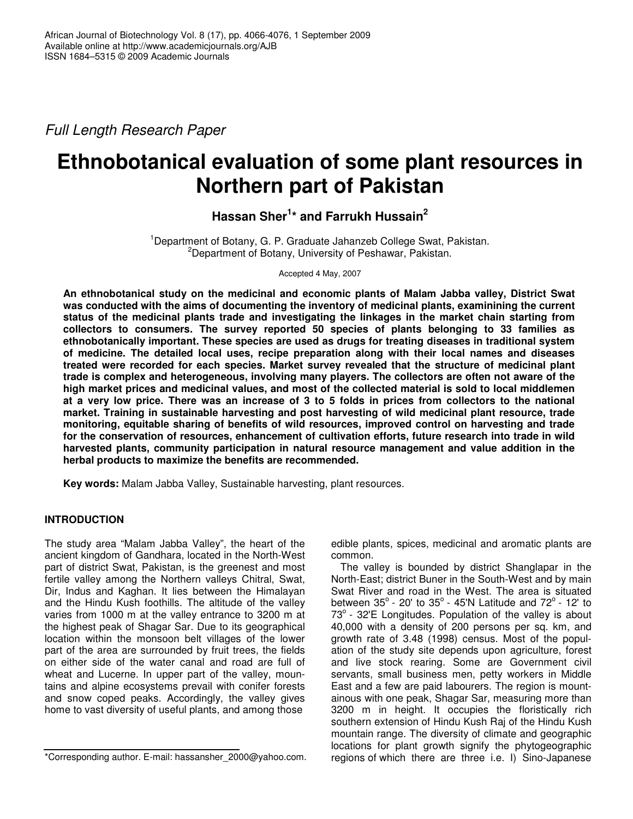*Full Length Research Paper*

# **Ethnobotanical evaluation of some plant resources in Northern part of Pakistan**

**Hassan Sher 1 \* and Farrukh Hussain 2**

<sup>1</sup>Department of Botany, G. P. Graduate Jahanzeb College Swat, Pakistan. <sup>2</sup>Department of Botany, University of Peshawar, Pakistan.

Accepted 4 May, 2007

**An ethnobotanical study on the medicinal and economic plants of Malam Jabba valley, District Swat was conducted with the aims of documenting the inventory of medicinal plants, examinining the current status of the medicinal plants trade and investigating the linkages in the market chain starting from collectors to consumers. The survey reported 50 species of plants belonging to 33 families as ethnobotanically important. These species are used as drugs for treating diseases in traditional system of medicine. The detailed local uses, recipe preparation along with their local names and diseases treated were recorded for each species. Market survey revealed that the structure of medicinal plant trade is complex and heterogeneous, involving many players. The collectors are often not aware of the high market prices and medicinal values, and most of the collected material is sold to local middlemen** at a very low price. There was an increase of 3 to 5 folds in prices from collectors to the national **market. Training in sustainable harvesting and post harvesting of wild medicinal plant resource, trade monitoring, equitable sharing of benefits of wild resources, improved control on harvesting and trade for the conservation of resources, enhancement of cultivation efforts, future research into trade in wild harvested plants, community participation in natural resource management and value addition in the herbal products to maximize the benefits are recommended.**

**Key words:** Malam Jabba Valley, Sustainable harvesting, plant resources.

# **INTRODUCTION**

The study area "Malam Jabba Valley", the heart of the ancient kingdom of Gandhara, located in the North-West part of district Swat, Pakistan, is the greenest and most fertile valley among the Northern valleys Chitral, Swat, Dir, Indus and Kaghan. It lies between the Himalayan and the Hindu Kush foothills. The altitude of the valley varies from 1000 m at the valley entrance to 3200 m at the highest peak of Shagar Sar. Due to its geographical location within the monsoon belt villages of the lower part of the area are surrounded by fruit trees, the fields on either side of the water canal and road are full of wheat and Lucerne. In upper part of the valley, mountains and alpine ecosystems prevail with conifer forests and snow coped peaks. Accordingly, the valley gives home to vast diversity of useful plants, and among those

edible plants, spices, medicinal and aromatic plants are common.

The valley is bounded by district Shanglapar in the North-East; district Buner in the South-West and by main Swat River and road in the West. The area is situated between  $35^{\circ}$  - 20' to  $35^{\circ}$  - 45'N Latitude and 72 $^{\circ}$  - 12' to  $73^\circ$  - 32'E Longitudes. Population of the valley is about 40,000 with a density of 200 persons per sq. km, and growth rate of 3.48 (1998) census. Most of the population of the study site depends upon agriculture, forest and live stock rearing. Some are Government civil servants, small business men, petty workers in Middle East and a few are paid labourers. The region is mountainous with one peak, Shagar Sar, measuring more than 3200 m in height. It occupies the floristically rich southern extension of Hindu Kush Raj of the Hindu Kush mountain range. The diversity of climate and geographic locations for plant growth signify the phytogeographic regions of which there are three i.e. I) Sino-Japanese

<sup>\*</sup>Corresponding author. E-mail: hassansher\_2000@yahoo.com.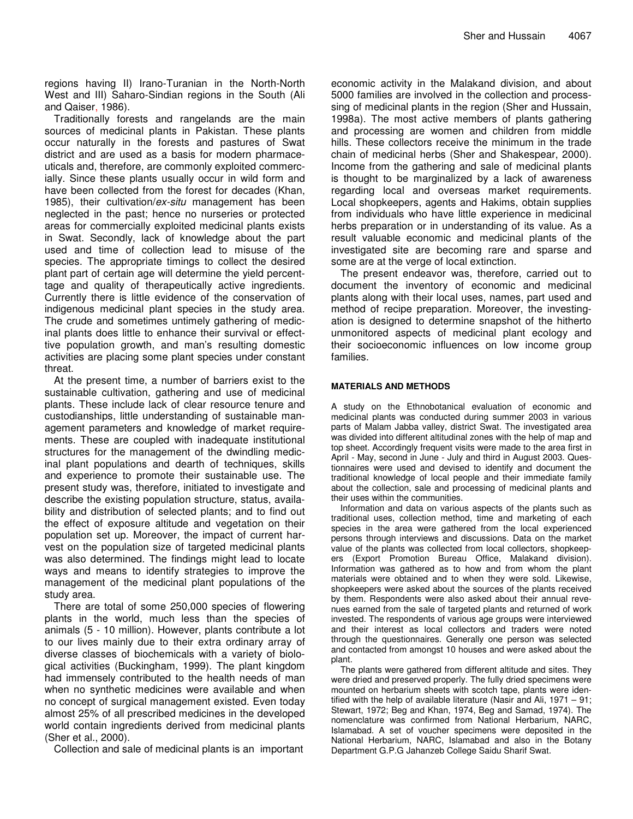regions having II) Irano-Turanian in the North-North West and III) Saharo-Sindian regions in the South (Ali and Qaiser, 1986).

Traditionally forests and rangelands are the main sources of medicinal plants in Pakistan. These plants occur naturally in the forests and pastures of Swat district and are used as a basis for modern pharmaceuticals and, therefore, are commonly exploited commercially. Since these plants usually occur in wild form and have been collected from the forest for decades (Khan, 1985), their cultivation/*ex-situ* management has been neglected in the past; hence no nurseries or protected areas for commercially exploited medicinal plants exists in Swat. Secondly, lack of knowledge about the part used and time of collection lead to misuse of the species. The appropriate timings to collect the desired plant part of certain age will determine the yield percenttage and quality of therapeutically active ingredients. Currently there is little evidence of the conservation of indigenous medicinal plant species in the study area. The crude and sometimes untimely gathering of medicinal plants does little to enhance their survival or effecttive population growth, and man's resulting domestic activities are placing some plant species under constant threat.

At the present time, a number of barriers exist to the sustainable cultivation, gathering and use of medicinal plants. These include lack of clear resource tenure and custodianships, little understanding of sustainable management parameters and knowledge of market requirements. These are coupled with inadequate institutional structures for the management of the dwindling medicinal plant populations and dearth of techniques, skills and experience to promote their sustainable use. The present study was, therefore, initiated to investigate and describe the existing population structure, status, availability and distribution of selected plants; and to find out the effect of exposure altitude and vegetation on their population set up. Moreover, the impact of current harvest on the population size of targeted medicinal plants was also determined. The findings might lead to locate ways and means to identify strategies to improve the management of the medicinal plant populations of the study area.

There are total of some 250,000 species of flowering plants in the world, much less than the species of animals (5 - 10 million). However, plants contribute a lot to our lives mainly due to their extra ordinary array of diverse classes of biochemicals with a variety of biological activities (Buckingham, 1999). The plant kingdom had immensely contributed to the health needs of man when no synthetic medicines were available and when no concept of surgical management existed. Even today almost 25% of all prescribed medicines in the developed world contain ingredients derived from medicinal plants (Sher et al., 2000).

Collection and sale of medicinal plants is an important

economic activity in the Malakand division, and about 5000 families are involved in the collection and processsing of medicinal plants in the region (Sher and Hussain, 1998a). The most active members of plants gathering and processing are women and children from middle hills. These collectors receive the minimum in the trade chain of medicinal herbs (Sher and Shakespear, 2000). Income from the gathering and sale of medicinal plants is thought to be marginalized by a lack of awareness regarding local and overseas market requirements. Local shopkeepers, agents and Hakims, obtain supplies from individuals who have little experience in medicinal herbs preparation or in understanding of its value. As a result valuable economic and medicinal plants of the investigated site are becoming rare and sparse and some are at the verge of local extinction.

The present endeavor was, therefore, carried out to document the inventory of economic and medicinal plants along with their local uses, names, part used and method of recipe preparation. Moreover, the investingation is designed to determine snapshot of the hitherto unmonitored aspects of medicinal plant ecology and their socioeconomic influences on low income group families.

#### **MATERIALS AND METHODS**

A study on the Ethnobotanical evaluation of economic and medicinal plants was conducted during summer 2003 in various parts of Malam Jabba valley, district Swat. The investigated area was divided into different altitudinal zones with the help of map and top sheet. Accordingly frequent visits were made to the area first in April - May, second in June - July and third in August 2003. Questionnaires were used and devised to identify and document the traditional knowledge of local people and their immediate family about the collection, sale and processing of medicinal plants and their uses within the communities.

Information and data on various aspects of the plants such as traditional uses, collection method, time and marketing of each species in the area were gathered from the local experienced persons through interviews and discussions. Data on the market value of the plants was collected from local collectors, shopkeepers (Export Promotion Bureau Office, Malakand division). Information was gathered as to how and from whom the plant materials were obtained and to when they were sold. Likewise, shopkeepers were asked about the sources of the plants received by them. Respondents were also asked about their annual revenues earned from the sale of targeted plants and returned of work invested. The respondents of various age groups were interviewed and their interest as local collectors and traders were noted through the questionnaires. Generally one person was selected and contacted from amongst 10 houses and were asked about the plant.

The plants were gathered from different altitude and sites. They were dried and preserved properly. The fully dried specimens were mounted on herbarium sheets with scotch tape, plants were identified with the help of available literature (Nasir and Ali, 1971 – 91; Stewart, 1972; Beg and Khan, 1974, Beg and Samad, 1974). The nomenclature was confirmed from National Herbarium, NARC, Islamabad. A set of voucher specimens were deposited in the National Herbarium, NARC, Islamabad and also in the Botany Department G.P.G Jahanzeb College Saidu Sharif Swat.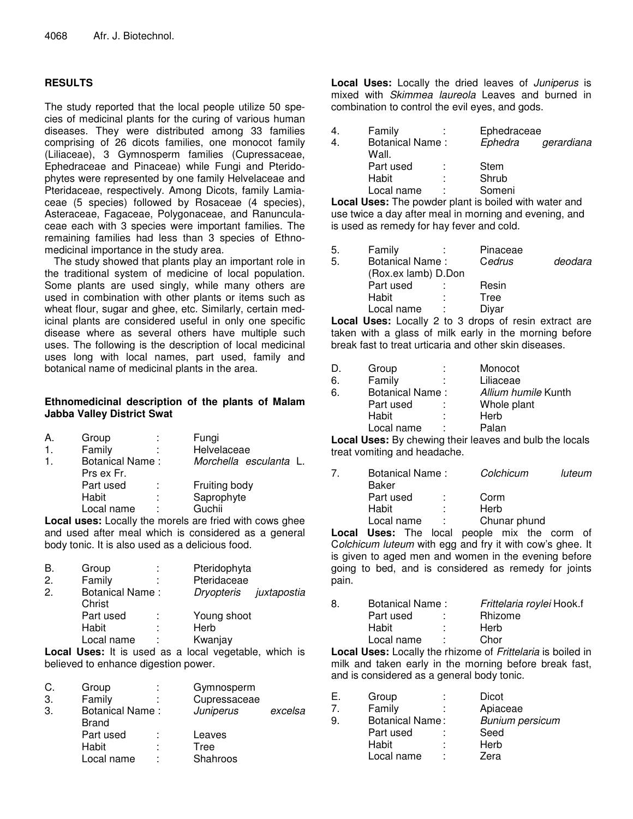# **RESULTS**

The study reported that the local people utilize 50 species of medicinal plants for the curing of various human diseases. They were distributed among 33 families comprising of 26 dicots families, one monocot family (Liliaceae), 3 Gymnosperm families (Cupressaceae, Ephedraceae and Pinaceae) while Fungi and Pteridophytes were represented by one family Helvelaceae and Pteridaceae, respectively. Among Dicots, family Lamiaceae (5 species) followed by Rosaceae (4 species), Asteraceae, Fagaceae, Polygonaceae, and Ranunculaceae each with 3 species were important families. The remaining families had less than 3 species of Ethnomedicinal importance in the study area.

The study showed that plants play an important role in the traditional system of medicine of local population. Some plants are used singly, while many others are used in combination with other plants or items such as wheat flour, sugar and ghee, etc. Similarly, certain medicinal plants are considered useful in only one specific disease where as several others have multiple such uses. The following is the description of local medicinal uses long with local names, part used, family and botanical name of medicinal plants in the area.

### **Ethnomedicinal description of the plants of Malam Jabba Valley District Swat**

| А. | Group                  | ÷      | Fungi                  |
|----|------------------------|--------|------------------------|
| 1. | Family                 |        | Helvelaceae            |
| 1. | <b>Botanical Name:</b> |        | Morchella esculanta L. |
|    | Prs ex Fr.             |        |                        |
|    | Part used              | ÷      | Fruiting body          |
|    | Habit                  | ٠<br>٠ | Saprophyte             |
|    | Local name             | ٠      | Guchii                 |
|    |                        |        |                        |

**Local uses:** Locally the morels are fried with cows ghee and used after meal which is considered as a general body tonic. It is also used as a delicious food.

| В.           | Group                            | ÷      | Pteridophyta           |  |
|--------------|----------------------------------|--------|------------------------|--|
| 2.           | Family                           | ٠      | Pteridaceae            |  |
| $\mathbf{2}$ | <b>Botanical Name:</b><br>Christ |        | Dryopteris juxtapostia |  |
|              | Part used                        | ÷      | Young shoot            |  |
|              | Habit                            | ٠<br>٠ | Herb                   |  |
|              | Local name                       | t      | Kwanjay                |  |

**Local Uses:** It is used as a local vegetable, which is believed to enhance digestion power.

| C. | Group                                  | Gymnosperm   |         |
|----|----------------------------------------|--------------|---------|
| 3. | Family                                 | Cupressaceae |         |
| 3. | <b>Botanical Name:</b><br><b>Brand</b> | Juniperus    | excelsa |
|    | Part used                              | Leaves       |         |
|    | Habit                                  | Tree         |         |
|    | Local name                             | Shahroos     |         |

**Local Uses:** Locally the dried leaves of *Juniperus* is mixed with *Skimmea laureola* Leaves and burned in combination to control the evil eyes, and gods.

| Ephedraceae           |
|-----------------------|
| Ephedra<br>gerardiana |
|                       |
|                       |
| Someni                |
|                       |

**Local Uses:** The powder plant is boiled with water and use twice a day after meal in morning and evening, and is used as remedy for hay fever and cold.

| 5. | Family                 |   | Pinaceae |         |
|----|------------------------|---|----------|---------|
| 5. | <b>Botanical Name:</b> |   | Cedrus   | deodara |
|    | (Rox.ex lamb) D.Don    |   |          |         |
|    | Part used              |   | Resin    |         |
|    | Habit                  | ÷ | Tree     |         |
|    | Local name             |   | Diyar    |         |
|    |                        |   |          |         |

**Local Uses:** Locally 2 to 3 drops of resin extract are taken with a glass of milk early in the morning before break fast to treat urticaria and other skin diseases.

|    | Group                  | ÷ | Monocot             |
|----|------------------------|---|---------------------|
| 6. | Family                 | ÷ | Liliaceae           |
| 6. | <b>Botanical Name:</b> |   | Allium humile Kunth |
|    | Part used              | ÷ | Whole plant         |
|    | Habit                  | ÷ | Herb                |
|    | Local name             | t | Palan               |

**Local Uses:** By chewing their leaves and bulb the locals treat vomiting and headache.

| 7 | Baker      | Botanical Name: |              | luteum |
|---|------------|-----------------|--------------|--------|
|   | Part used  | <b>P</b>        | Corm         |        |
|   | Habit      | л.              | Herb         |        |
|   | Local name |                 | Chunar phund |        |
|   |            |                 |              |        |

**Local Uses:** The local people mix the corm of C*olchicum luteum* with egg and fry it with cow's ghee. It is given to aged men and women in the evening before going to bed, and is considered as remedy for joints pain.

| 8. | Botanical Name: |    | Frittelaria roylei Hook.f |
|----|-----------------|----|---------------------------|
|    | Part used       |    | <b>Rhizome</b>            |
|    | Habit           | ۰. | Herb                      |
|    | Local name      |    | Chor                      |

**Local Uses:** Locally the rhizome of *Frittelaria* is boiled in milk and taken early in the morning before break fast, and is considered as a general body tonic.

| Е. | Group                  |   | Dicot                  |
|----|------------------------|---|------------------------|
|    | Family                 |   | Apiaceae               |
| 9. | <b>Botanical Name:</b> |   | <b>Bunium persicum</b> |
|    | Part used              |   | Seed                   |
|    | Habit                  |   | Herb                   |
|    | Local name             | ٠ | Zera                   |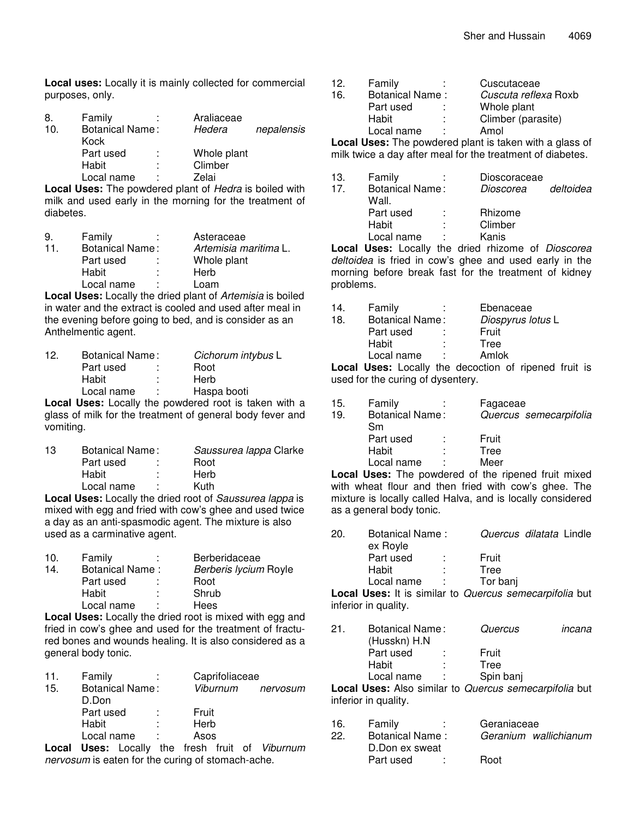**Local uses:** Locally it is mainly collected for commercial purposes, only.

| 8.  | Family                 |   | Araliaceae  |            |
|-----|------------------------|---|-------------|------------|
| 10. | <b>Botanical Name:</b> |   | Hedera      | nepalensis |
|     | Kock                   |   |             |            |
|     | Part used              |   | Whole plant |            |
|     | Habit                  | ٠ | Climber     |            |
|     | Local name             | ٠ | Zelai       |            |

**Local Uses:** The powdered plant of *Hedra* is boiled with milk and used early in the morning for the treatment of diabetes.

| 9   | Family                 | Asteraceae            |  |
|-----|------------------------|-----------------------|--|
| 11. | <b>Botanical Name:</b> | Artemisia maritima L. |  |
|     | Part used              | Whole plant           |  |
|     | Habit<br>٠             | Herb                  |  |
|     | Local name             | Loam                  |  |
|     |                        |                       |  |

**Local Uses:** Locally the dried plant of *Artemisia* is boiled in water and the extract is cooled and used after meal in the evening before going to bed, and is consider as an Anthelmentic agent.

| 12. | <b>Botanical Name:</b> | Cichorum intybus L |  |
|-----|------------------------|--------------------|--|
|     | Part used              | Root               |  |
|     | Habit<br>л.            | Herb               |  |
|     | Local name<br>÷        | Haspa booti        |  |
|     |                        |                    |  |

**Local Uses:** Locally the powdered root is taken with a glass of milk for the treatment of general body fever and vomiting.

| 13 | Botanical Name: |  | Saussurea lappa Clarke                                |  |
|----|-----------------|--|-------------------------------------------------------|--|
|    | Part used       |  | Root                                                  |  |
|    | Habit           |  | Herb                                                  |  |
|    | Local name      |  | Kuth                                                  |  |
|    |                 |  | Loop Uses Locally the dried rest of Causeures Japanie |  |

**Local Uses:** Locally the dried root of *Saussurea lappa* is mixed with egg and fried with cow's ghee and used twice a day as an anti-spasmodic agent. The mixture is also used as a carminative agent.

| 10. | Family                 | ٠<br>$\mathbf{r}$ | <b>Berberidaceae</b>  |
|-----|------------------------|-------------------|-----------------------|
| 14. | <b>Botanical Name:</b> |                   | Berberis lycium Royle |
|     | Part used              |                   | Root                  |
|     | Habit                  | ٠                 | Shrub                 |
|     | Local name             |                   | Hees                  |

**Local Uses:** Locally the dried root is mixed with egg and fried in cow's ghee and used for the treatment of fractured bones and wounds healing. It is also considered as a general body tonic.

| 11. | Family                          |   | Caprifoliaceae |          |
|-----|---------------------------------|---|----------------|----------|
| 15. | <b>Botanical Name:</b><br>D.Don |   | Viburnum       | nervosum |
|     | Part used                       |   | Fruit          |          |
|     | Habit                           | ٠ | Herb           |          |
|     | Local name                      |   | Asos           |          |

**Local Uses:** Locally the fresh fruit of *Viburnum nervosum* is eaten for the curing of stomach-ache.

| 12. | Family                 |   | Cuscutaceae                                       |
|-----|------------------------|---|---------------------------------------------------|
| 16. | <b>Botanical Name:</b> |   | Cuscuta reflexa Roxb                              |
|     | Part used              |   | Whole plant                                       |
|     | Habit                  |   | Climber (parasite)                                |
|     | Local name             | ٠ | Amol                                              |
|     |                        |   | ままい いっこ 一定に いっこうしょうしょう ほうけいしょ かいまんしょう こうけいしょうけいしょ |

**Local Uses:** The powdered plant is taken with a glass of milk twice a day after meal for the treatment of diabetes.

| 13. | Family                 | Dioscoraceae                                                                                                          |           |
|-----|------------------------|-----------------------------------------------------------------------------------------------------------------------|-----------|
| 17. | <b>Botanical Name:</b> | Dioscorea                                                                                                             | deltoidea |
|     | Wall.                  |                                                                                                                       |           |
|     | Part used              | Rhizome                                                                                                               |           |
|     | Habit                  | Climber                                                                                                               |           |
|     | Local name             | Kanis                                                                                                                 |           |
|     |                        | $\mathbf{r}$ , and the contract of $\mathbf{r}$ , and the contract of $\mathbf{r}$ , and the contract of $\mathbf{r}$ |           |

**Local Uses:** Locally the dried rhizome of *Dioscorea deltoidea* is fried in cow's ghee and used early in the morning before break fast for the treatment of kidney problems.

| 14. | Family                 | Ebenaceae         |
|-----|------------------------|-------------------|
| 18. | <b>Botanical Name:</b> | Diospyrus lotus L |
|     | Part used              | Fruit             |
|     | Habit                  | Tree              |
|     | Local name             | Amlok             |
|     |                        |                   |

**Local Uses:** Locally the decoction of ripened fruit is used for the curing of dysentery.

| 15. | Family                 |   | Fagaceae               |
|-----|------------------------|---|------------------------|
| 19. | <b>Botanical Name:</b> |   | Quercus semecarpifolia |
|     | Sm                     |   |                        |
|     | Part used              |   | Fruit                  |
|     | Habit                  | ٠ | Tree                   |
|     | Local name             | ٠ | Meer                   |
|     |                        |   |                        |

**Local Uses:** The powdered of the ripened fruit mixed with wheat flour and then fried with cow's ghee. The mixture is locally called Halva, and is locally considered as a general body tonic.

| <b>20.</b> | Botanical Name:<br>ex Royle |    | Quercus dilatata Lindle |  |  |
|------------|-----------------------------|----|-------------------------|--|--|
|            | Part used                   |    | Fruit                   |  |  |
|            | Habit                       | ٠  | Tree                    |  |  |
|            | Local name                  | л. | Tor banj                |  |  |

**Local Uses:** It is similar to *Quercus semecarpifolia* but inferior in quality.

| 21 | Botanical Name:<br>(Husskn) H.N |  | Quercus   | incana |
|----|---------------------------------|--|-----------|--------|
|    | Part used                       |  | Fruit     |        |
|    | Habit                           |  | Tree      |        |
|    | Local name                      |  | Spin banj |        |
|    |                                 |  |           |        |

**Local Uses:** Also similar to *Quercus semecarpifolia* but inferior in quality.

| 16. | Family                 | Geraniaceae           |
|-----|------------------------|-----------------------|
| 22  | <b>Botanical Name:</b> | Geranium wallichianum |
|     | D.Don ex sweat         |                       |
|     | Part used              | Root                  |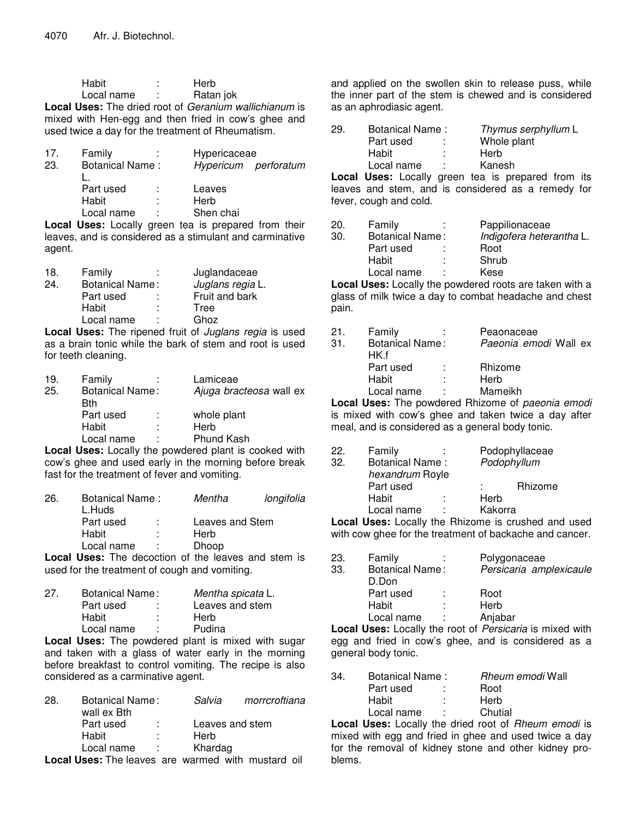| Habit      | Herb      |
|------------|-----------|
| Local name | Ratan jok |

**Local Uses:** The dried root of *Geranium wallichianum* is mixed with Hen-egg and then fried in cow's ghee and used twice a day for the treatment of Rheumatism.

|                        |        | Hypericaceae |                      |
|------------------------|--------|--------------|----------------------|
| <b>Botanical Name:</b> |        |              | Hypericum perforatum |
| Part used              | ÷      | Leaves       |                      |
| Habit                  | ٠<br>٠ | Herb         |                      |
| Local name             | ٠      | Shen chai    |                      |
|                        | Family |              |                      |

**Local Uses:** Locally green tea is prepared from their leaves, and is considered as a stimulant and carminative agent.

| 18. | Family                 | ٠<br>٠ | Juglandaceae     |
|-----|------------------------|--------|------------------|
| 24. | <b>Botanical Name:</b> |        | Juglans regia L. |
|     | Part used              | ÷      | Fruit and bark   |
|     | Habit                  | ٠<br>٠ | Tree             |
|     | Local name             | ٠      | Ghoz             |

**Local Uses:** The ripened fruit of *Juglans regia* is used as a brain tonic while the bark of stem and root is used for teeth cleaning.

| 19. | Family                        | Lamiceae                |
|-----|-------------------------------|-------------------------|
| 25. | <b>Botanical Name:</b><br>Bth | Ajuga bracteosa wall ex |
|     | Part used                     | whole plant             |
|     | Habit                         | Herb                    |
|     | Local name                    | <b>Phund Kash</b>       |
|     |                               |                         |

**Local Uses:** Locally the powdered plant is cooked with cow's ghee and used early in the morning before break fast for the treatment of fever and vomiting.

| 26. | Botanical Name:<br>L.Huds |    | Mentha          | longifolia |
|-----|---------------------------|----|-----------------|------------|
|     | Part used                 | ÷. | Leaves and Stem |            |
|     | Habit                     | ÷  | Herb            |            |
|     | Local name                | ÷  | Dhoop           |            |
|     |                           |    |                 |            |

**Local Uses:** The decoction of the leaves and stem is used for the treatment of cough and vomiting.

| 27. | Botanical Name: |    | Mentha spicata L. |
|-----|-----------------|----|-------------------|
|     | Part used       | ÷  | Leaves and stem   |
|     | Habit           | ÷  | Herb              |
|     | Local name      | л. | Pudina            |

**Local Uses:** The powdered plant is mixed with sugar and taken with a glass of water early in the morning before breakfast to control vomiting. The recipe is also considered as a carminative agent.

| 28. | Botanical Name:<br>wall ex Bth |   | Salvia                  | morrcroftiana                                  |
|-----|--------------------------------|---|-------------------------|------------------------------------------------|
|     | Part used<br>Habit             | ٠ | Leaves and stem<br>Herb |                                                |
|     |                                |   |                         |                                                |
|     | Local name                     | ÷ | Khardag                 |                                                |
|     | Local Hose, The Lenner and     |   |                         | الأنجا المستحقق ويعمل الملقان بالمتحرم ممساحات |

**Local Uses:** The leaves are warmed with mustard oil

and applied on the swollen skin to release puss, while the inner part of the stem is chewed and is considered as an aphrodiasic agent.

| 29. | Botanical Name: |          | Thymus serphyllum L |
|-----|-----------------|----------|---------------------|
|     | Part used       | ٠        | Whole plant         |
|     | Habit           | п.       | Herb                |
|     | Local name      | <b>P</b> | Kanesh              |
|     |                 |          |                     |

**Local Uses:** Locally green tea is prepared from its leaves and stem, and is considered as a remedy for fever, cough and cold.

| 20. | Family                 | Pappilionaceae                                                        |
|-----|------------------------|-----------------------------------------------------------------------|
| 30. | <b>Botanical Name:</b> | Indigofera heterantha L.                                              |
|     | Part used              | Root                                                                  |
|     | Habit                  | Shrub                                                                 |
|     | Local name             | Kese                                                                  |
|     |                        | والمنازل وتمرامه وسمامهم والموسوا ويستحدث والمتار الموم التحفظ الموما |

**Local Uses:** Locally the powdered roots are taken with a glass of milk twice a day to combat headache and chest pain.

| 21.  | Family                         |        | Peaonaceae            |  |
|------|--------------------------------|--------|-----------------------|--|
| .31. | <b>Botanical Name:</b><br>HK f |        | Paeonia emodi Wall ex |  |
|      | Part used                      | $\sim$ | Rhizome               |  |
|      | Habit                          |        | Herb                  |  |
|      | Local name                     |        | Mameikh               |  |
|      |                                |        |                       |  |

**Local Uses:** The powdered Rhizome of *paeonia emodi* is mixed with cow's ghee and taken twice a day after meal, and is considered as a general body tonic.

| 22. | Family                                                                                   |   |             | Podophyllaceae |
|-----|------------------------------------------------------------------------------------------|---|-------------|----------------|
| 32. | <b>Botanical Name:</b>                                                                   |   | Podophyllum |                |
|     | hexandrum Royle                                                                          |   |             |                |
|     | Part used                                                                                |   |             | Rhizome        |
|     | Habit                                                                                    |   | Herb        |                |
|     | Local name                                                                               | ٠ | Kakorra     |                |
|     | the contribution of the collection of the collection of the collection of the collection |   |             |                |

**Local Uses:** Locally the Rhizome is crushed and used with cow ghee for the treatment of backache and cancer.

| 23. | Family                 | Polygonaceae            |
|-----|------------------------|-------------------------|
| 33. | <b>Botanical Name:</b> | Persicaria amplexicaule |
|     | D.Don                  |                         |
|     | Part used              | Root                    |
|     | Habit                  | Herb                    |
|     | Local name             | Anjabar                 |
|     |                        |                         |

**Local Uses:** Locally the root of *Persicaria* is mixed with egg and fried in cow's ghee, and is considered as a general body tonic.

| 34. | Botanical Name: | <i>Rheum emodi</i> Wall |
|-----|-----------------|-------------------------|
|     | Part used       | Root                    |
|     | Habit           | Herb                    |
|     | Local name      | Chutial                 |
|     |                 |                         |

**Local Uses:** Locally the dried root of *Rheum emodi* is mixed with egg and fried in ghee and used twice a day for the removal of kidney stone and other kidney problems.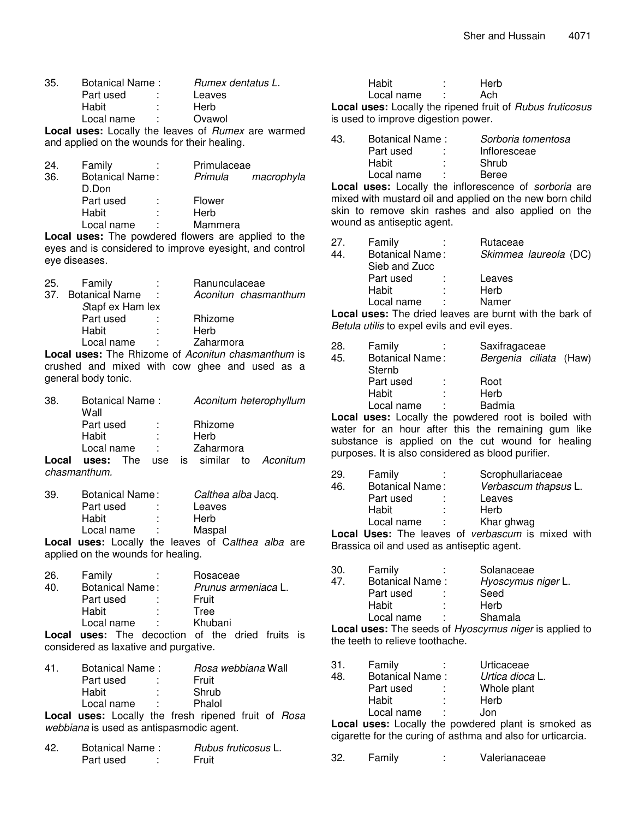| 35. | Botanical Name: |                 | Rumex dentatus L.                             |  |
|-----|-----------------|-----------------|-----------------------------------------------|--|
|     | Part used       |                 | Leaves                                        |  |
|     | Habit           |                 | Herb                                          |  |
|     | Local name      | <b>Contract</b> | Ovawol                                        |  |
|     |                 |                 | Lessures Leading the Legion of Dumoy are warm |  |

**Local uses:** Locally the leaves of *Rumex* are warmed and applied on the wounds for their healing.

| 24. | Family                 | ÷ | Primulaceae |            |
|-----|------------------------|---|-------------|------------|
| 36. | <b>Botanical Name:</b> |   | Primula     | macrophyla |
|     | D.Don                  |   |             |            |
|     | Part used              | ÷ | Flower      |            |
|     | Habit                  | ÷ | Herb        |            |
|     | Local name             | ٠ | Mammera     |            |
|     |                        |   |             |            |

**Local uses:** The powdered flowers are applied to the eyes and is considered to improve eyesight, and control eye diseases.

| 25. | Family             |          | Ranunculaceae        |
|-----|--------------------|----------|----------------------|
|     | 37. Botanical Name | - 50     | Aconitun chasmanthum |
|     | Stapf ex Ham lex   |          |                      |
|     | Part used          | in 1999. | Rhizome              |
|     | Habit              | ÷        | Herb                 |
|     | Local name         | ÷        | Zaharmora            |
|     |                    |          |                      |

**Local uses:** The Rhizome of *Aconitun chasmanthum* is crushed and mixed with cow ghee and used as a general body tonic.

| 38.   | Botanical Name:<br>Wall |  |            |           | Aconitum heterophyllum     |
|-------|-------------------------|--|------------|-----------|----------------------------|
|       | Part used               |  | ÷          | Rhizome   |                            |
|       | Habit                   |  | ÷          | Herb      |                            |
|       | Local name              |  | $\sim 100$ | Zaharmora |                            |
| Local | uses: The               |  |            |           | use is similar to Aconitum |
|       | chasmanthum.            |  |            |           |                            |

| 39. | Botanical Name: |    | Calthea alba Jacq.                           |
|-----|-----------------|----|----------------------------------------------|
|     | Part used       |    | Leaves                                       |
|     | Habit           | ÷. | Herb                                         |
|     | Local name      | A. | Maspal                                       |
|     | .               |    | $\cdots$ $\cdots$ $\cdots$ $\cdots$ $\cdots$ |

**Local uses:** Locally the leaves of C*althea alba* are applied on the wounds for healing.

| 26.   | Family          | ÷ | Rosaceae                                |
|-------|-----------------|---|-----------------------------------------|
| 40.   | Botanical Name: |   | Prunus armeniaca L.                     |
|       | Part used       |   | Fruit                                   |
|       | Habit           | ÷ | Tree                                    |
|       | Local name      | ٠ | Khubani                                 |
| امہ ا |                 |   | uses: The decestion of the dried fruits |

**Local uses:** The decoction of the dried fruits is considered as laxative and purgative.

| 41. | Botanical Name: | Rosa webbiana Wall |
|-----|-----------------|--------------------|
|     | Part used       | Fruit              |
|     | Habit           | Shrub              |
|     | Local name      | Phalol             |
|     |                 |                    |

**Local uses:** Locally the fresh ripened fruit of *Rosa webbiana* is used as antispasmodic agent.

| 42. | Botanical Name: | <i>Rubus fruticosus</i> L. |  |  |
|-----|-----------------|----------------------------|--|--|
|     | Part used       | Fruit                      |  |  |

| Habit                                     | ٠ | Herb |  |
|-------------------------------------------|---|------|--|
| Local name                                |   | Ach  |  |
| seel weest Locally the rineped fruit of D |   |      |  |

**Local uses:** Locally the ripened fruit of *Rubus fruticosus* is used to improve digestion power.

| 43. | Botanical Name: | Sorboria tomentosa |
|-----|-----------------|--------------------|
|     | Part used       | Infloresceae       |
|     | Habit           | Shrub              |
|     | Local name      | Beree              |
|     |                 |                    |

**Local uses:** Locally the inflorescence of *sorboria* are mixed with mustard oil and applied on the new born child skin to remove skin rashes and also applied on the wound as antiseptic agent.

| 27. | Family                 |     | Rutaceae              |
|-----|------------------------|-----|-----------------------|
| 44. | <b>Botanical Name:</b> |     | Skimmea laureola (DC) |
|     | Sieb and Zucc          |     |                       |
|     | Part used              | -11 | Leaves                |
|     | Habit                  |     | Herb                  |
|     | Local name             |     | Namer                 |
|     |                        |     |                       |

**Local uses:** The dried leaves are burnt with the bark of *Betula utilis* to expel evils and evil eyes.

| -28. | Family                 |                        | Saxifragaceae |  |
|------|------------------------|------------------------|---------------|--|
| 45.  | <b>Botanical Name:</b> | Bergenia ciliata (Haw) |               |  |
|      | Sternb                 |                        |               |  |
|      | Part used              | ÷                      | Root          |  |
|      | Habit                  | ٠                      | Herb          |  |
|      | Local name             | ÷                      | <b>Badmia</b> |  |

**Local uses:** Locally the powdered root is boiled with water for an hour after this the remaining gum like substance is applied on the cut wound for healing purposes. It is also considered as blood purifier.

| 29. | Family                 | Scrophullariaceae                                                                                                                                                                                                              |
|-----|------------------------|--------------------------------------------------------------------------------------------------------------------------------------------------------------------------------------------------------------------------------|
| 46. | <b>Botanical Name:</b> | Verbascum thapsus L.                                                                                                                                                                                                           |
|     | Part used              | Leaves                                                                                                                                                                                                                         |
|     | Habit                  | Herb                                                                                                                                                                                                                           |
|     | Local name             | Khar ghwag                                                                                                                                                                                                                     |
|     | - 「「」 」 」 一丁 しょうけい     | the state of the state of the state of the state of the state of the state of the state of the state of the state of the state of the state of the state of the state of the state of the state of the state of the state of t |

**Local Uses:** The leaves of *verbascum* is mixed with Brassica oil and used as antiseptic agent.

| 30.<br>47. | Family<br><b>Botanical Name:</b> | Solanaceae<br>Hyoscymus niger L. |
|------------|----------------------------------|----------------------------------|
|            | Part used                        | Seed                             |
|            | Habit                            | Herb                             |
|            | Local name                       | Shamala                          |
|            |                                  |                                  |

**Local uses:** The seeds of *Hyoscymus niger* is applied to the teeth to relieve toothache.

| 31. | Family                 | ٠<br>٠ | Urticaceae      |
|-----|------------------------|--------|-----------------|
| 48. | <b>Botanical Name:</b> |        | Urtica dioca L. |
|     | Part used              | ÷      | Whole plant     |
|     | Habit                  | t      | Herb            |
|     | Local name             | ÷      | Jon             |
|     |                        |        |                 |

**Local uses:** Locally the powdered plant is smoked as cigarette for the curing of asthma and also for urticarcia.

32. Family : Valerianaceae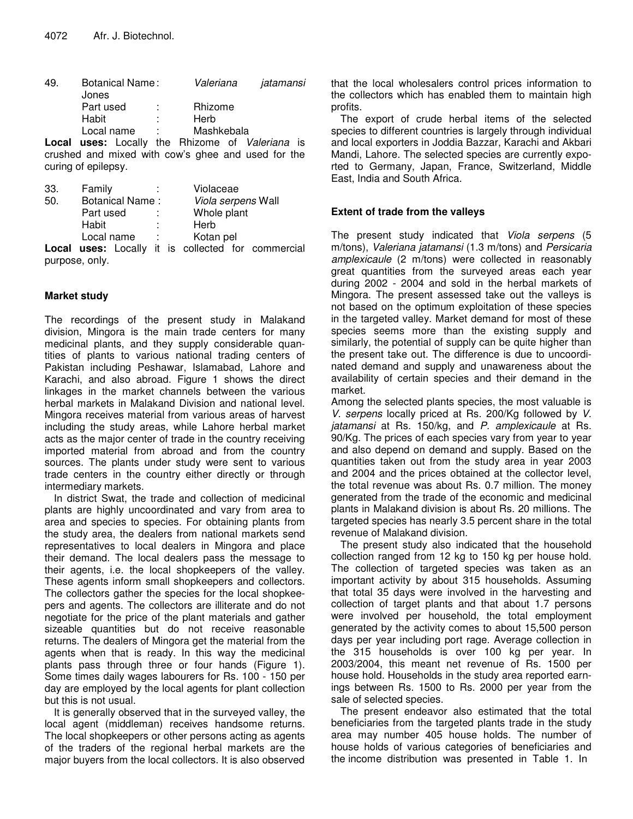| 49. | Botanical Name:             |  | Valeriana<br>iatamansi                                                                                                                                                                                                                                                                                                                    |  |
|-----|-----------------------------|--|-------------------------------------------------------------------------------------------------------------------------------------------------------------------------------------------------------------------------------------------------------------------------------------------------------------------------------------------|--|
|     | Jones                       |  |                                                                                                                                                                                                                                                                                                                                           |  |
|     | Part used                   |  | Rhizome                                                                                                                                                                                                                                                                                                                                   |  |
|     | Habit                       |  | Herb                                                                                                                                                                                                                                                                                                                                      |  |
|     | Local name                  |  | Mashkebala                                                                                                                                                                                                                                                                                                                                |  |
|     | المطلب وبالمستمرات ويستسمون |  | $D_1$ $\vdots$ $\vdots$ $\vdots$ $\vdots$ $\vdots$ $\vdots$ $\vdots$ $\vdots$ $\vdots$ $\vdots$ $\vdots$ $\vdots$ $\vdots$ $\vdots$ $\vdots$ $\vdots$ $\vdots$ $\vdots$ $\vdots$ $\vdots$ $\vdots$ $\vdots$ $\vdots$ $\vdots$ $\vdots$ $\vdots$ $\vdots$ $\vdots$ $\vdots$ $\vdots$ $\vdots$ $\vdots$ $\vdots$ $\vdots$ $\vdots$ $\vdots$ |  |

**Local uses:** Locally the Rhizome of *Valeriana* is crushed and mixed with cow's ghee and used for the curing of epilepsy.

| 33. | Family     |                                              |                  |  | Violaceae   |  |                                                    |
|-----|------------|----------------------------------------------|------------------|--|-------------|--|----------------------------------------------------|
| 50. |            | <b>Botanical Name:</b><br>Viola serpens Wall |                  |  |             |  |                                                    |
|     | Part used  |                                              | $\sim$           |  | Whole plant |  |                                                    |
|     | Habit      |                                              |                  |  | Herb        |  |                                                    |
|     | Local name |                                              | $\sim$ 10 $\sim$ |  | Kotan pel   |  |                                                    |
|     |            |                                              |                  |  |             |  | Local uses: Locally it is collected for commercial |

purpose, only.

# **Market study**

The recordings of the present study in Malakand division, Mingora is the main trade centers for many medicinal plants, and they supply considerable quantities of plants to various national trading centers of Pakistan including Peshawar, Islamabad, Lahore and Karachi, and also abroad. Figure 1 shows the direct linkages in the market channels between the various herbal markets in Malakand Division and national level. Mingora receives material from various areas of harvest including the study areas, while Lahore herbal market acts as the major center of trade in the country receiving imported material from abroad and from the country sources. The plants under study were sent to various trade centers in the country either directly or through intermediary markets.

In district Swat, the trade and collection of medicinal plants are highly uncoordinated and vary from area to area and species to species. For obtaining plants from the study area, the dealers from national markets send representatives to local dealers in Mingora and place their demand. The local dealers pass the message to their agents, i.e. the local shopkeepers of the valley. These agents inform small shopkeepers and collectors. The collectors gather the species for the local shopkeepers and agents. The collectors are illiterate and do not negotiate for the price of the plant materials and gather sizeable quantities but do not receive reasonable returns. The dealers of Mingora get the material from the agents when that is ready. In this way the medicinal plants pass through three or four hands (Figure 1). Some times daily wages labourers for Rs. 100 - 150 per day are employed by the local agents for plant collection but this is not usual.

It is generally observed that in the surveyed valley, the local agent (middleman) receives handsome returns. The local shopkeepers or other persons acting as agents of the traders of the regional herbal markets are the major buyers from the local collectors. It is also observed

that the local wholesalers control prices information to the collectors which has enabled them to maintain high profits.

The export of crude herbal items of the selected species to different countries is largely through individual and local exporters in Joddia Bazzar, Karachi and Akbari Mandi, Lahore. The selected species are currently exported to Germany, Japan, France, Switzerland, Middle East, India and South Africa.

## **Extent of trade from the valleys**

The present study indicated that *Viola serpens* (5 m/tons), *Valeriana jatamansi* (1.3 m/tons) and *Persicaria amplexicaule* (2 m/tons) were collected in reasonably great quantities from the surveyed areas each year during 2002 - 2004 and sold in the herbal markets of Mingora. The present assessed take out the valleys is not based on the optimum exploitation of these species in the targeted valley. Market demand for most of these species seems more than the existing supply and similarly, the potential of supply can be quite higher than the present take out. The difference is due to uncoordinated demand and supply and unawareness about the availability of certain species and their demand in the market.

Among the selected plants species, the most valuable is *V. serpens* locally priced at Rs. 200/Kg followed by *V. jatamansi* at Rs. 150/kg, and *P. amplexicaule* at Rs. 90/Kg. The prices of each species vary from year to year and also depend on demand and supply. Based on the quantities taken out from the study area in year 2003 and 2004 and the prices obtained at the collector level, the total revenue was about Rs. 0.7 million. The money generated from the trade of the economic and medicinal plants in Malakand division is about Rs. 20 millions. The targeted species has nearly 3.5 percent share in the total revenue of Malakand division.

The present study also indicated that the household collection ranged from 12 kg to 150 kg per house hold. The collection of targeted species was taken as an important activity by about 315 households. Assuming that total 35 days were involved in the harvesting and collection of target plants and that about 1.7 persons were involved per household, the total employment generated by the activity comes to about 15,500 person days per year including port rage. Average collection in the 315 households is over 100 kg per year. In 2003/2004, this meant net revenue of Rs. 1500 per house hold. Households in the study area reported earnings between Rs. 1500 to Rs. 2000 per year from the sale of selected species.

The present endeavor also estimated that the total beneficiaries from the targeted plants trade in the study area may number 405 house holds. The number of house holds of various categories of beneficiaries and the income distribution was presented in Table 1. In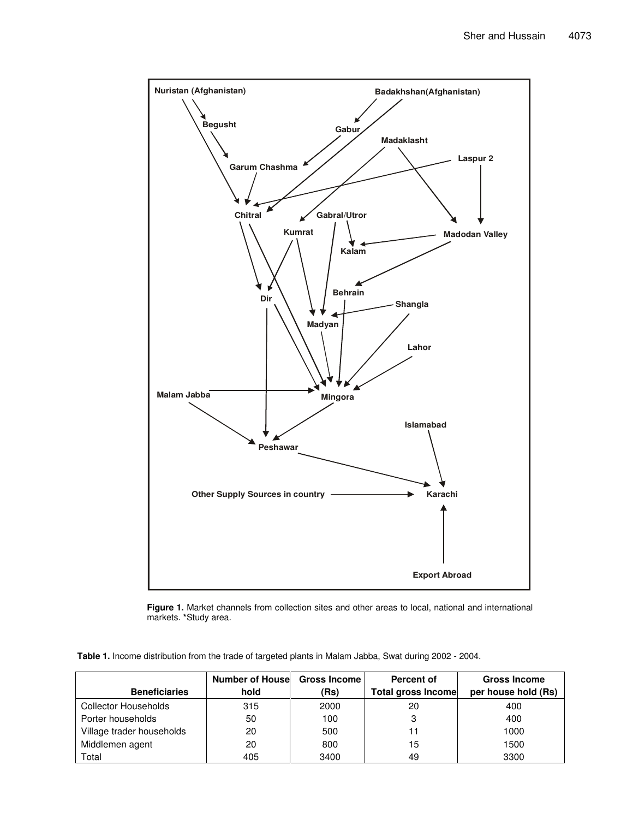

**Figure 1.** Market channels from collection sites and other areas to local, national and international markets. **\***Study area.

**Table 1.** Income distribution from the trade of targeted plants in Malam Jabba, Swat during 2002 - 2004.

|                           | <b>Number of Housel Gross Income</b> |      | Percent of                | <b>Gross Income</b> |
|---------------------------|--------------------------------------|------|---------------------------|---------------------|
| <b>Beneficiaries</b>      | hold                                 | (Rs) | <b>Total gross Income</b> | per house hold (Rs) |
| Collector Households      | 315                                  | 2000 | 20                        | 400                 |
| Porter households         | 50                                   | 100  | 3                         | 400                 |
| Village trader households | 20                                   | 500  | 11                        | 1000                |
| Middlemen agent           | 20                                   | 800  | 15                        | 1500                |
| Total                     | 405                                  | 3400 | 49                        | 3300                |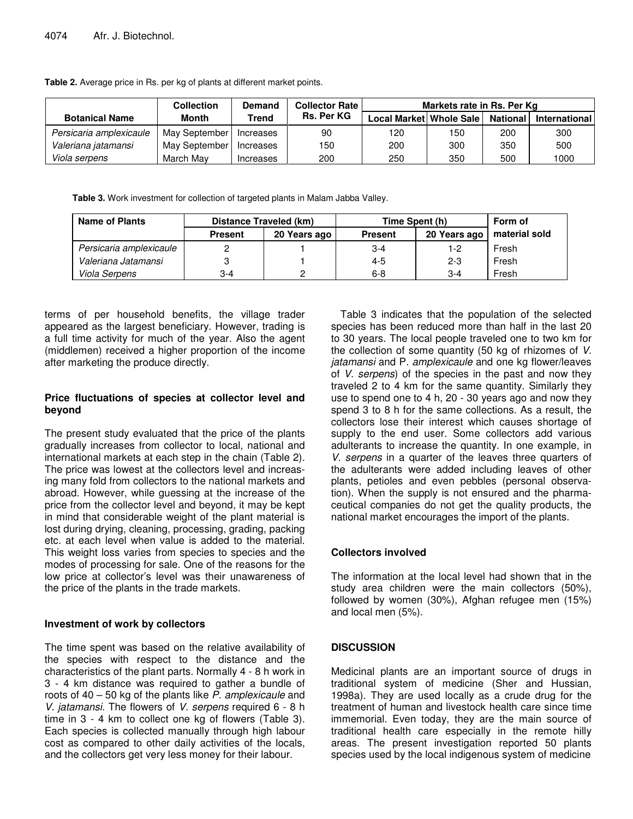|                         | <b>Collection</b> | Demand    | <b>Collector Rate</b> | Markets rate in Rs. Per Kg |     |                 |               |
|-------------------------|-------------------|-----------|-----------------------|----------------------------|-----|-----------------|---------------|
| <b>Botanical Name</b>   | Month             | Trend     | <b>Rs. Per KG</b>     | Local Market Whole Sale    |     | <b>National</b> | International |
| Persicaria amplexicaule | May September     | Increases | 90                    | 120                        | 150 | 200             | 300           |
| Valeriana jatamansi     | May September     | Increases | 150                   | 200                        | 300 | 350             | 500           |
| Viola serpens           | March Mav         | Increases | 200                   | 250                        | 350 | 500             | 1000          |

**Table 2.** Average price in Rs. per kg of plants at different market points.

**Table 3.** Work investment for collection of targeted plants in Malam Jabba Valley.

| <b>Name of Plants</b>   | Distance Traveled (km) |                | Time Spent (h) | Form of      |               |
|-------------------------|------------------------|----------------|----------------|--------------|---------------|
|                         | <b>Present</b>         | 20 Years ago l | <b>Present</b> | 20 Years ago | material sold |
| Persicaria amplexicaule |                        |                | $3 - 4$        | 1-2          | Fresh         |
| Valeriana Jatamansi     |                        |                | $4 - 5$        | $2 - 3$      | Fresh         |
| Viola Serpens           | 3-4                    |                | $6 - 8$        | $3-4$        | Fresh         |

terms of per household benefits, the village trader appeared as the largest beneficiary. However, trading is a full time activity for much of the year. Also the agent (middlemen) received a higher proportion of the income after marketing the produce directly.

### **Price fluctuations of species at collector level and beyond**

The present study evaluated that the price of the plants gradually increases from collector to local, national and international markets at each step in the chain (Table 2). The price was lowest at the collectors level and increasing many fold from collectors to the national markets and abroad. However, while guessing at the increase of the price from the collector level and beyond, it may be kept in mind that considerable weight of the plant material is lost during drying, cleaning, processing, grading, packing etc. at each level when value is added to the material. This weight loss varies from species to species and the modes of processing for sale. One of the reasons for the low price at collector's level was their unawareness of the price of the plants in the trade markets.

#### **Investment of work by collectors**

The time spent was based on the relative availability of the species with respect to the distance and the characteristics of the plant parts. Normally 4 - 8 h work in 3 - 4 km distance was required to gather a bundle of roots of 40 – 50 kg of the plants like *P. amplexicaule* and *V. jatamansi*. The flowers of *V. serpens* required 6 - 8 h time in 3 - 4 km to collect one kg of flowers (Table 3). Each species is collected manually through high labour cost as compared to other daily activities of the locals, and the collectors get very less money for their labour.

Table 3 indicates that the population of the selected species has been reduced more than half in the last 20 to 30 years. The local people traveled one to two km for the collection of some quantity (50 kg of rhizomes of *V. jatamansi* and P*. amplexicaule* and one kg flower/leaves of *V. serpens*) of the species in the past and now they traveled 2 to 4 km for the same quantity. Similarly they use to spend one to 4 h, 20 - 30 years ago and now they spend 3 to 8 h for the same collections. As a result, the collectors lose their interest which causes shortage of supply to the end user. Some collectors add various adulterants to increase the quantity. In one example, in *V. serpens* in a quarter of the leaves three quarters of the adulterants were added including leaves of other plants, petioles and even pebbles (personal observation). When the supply is not ensured and the pharmaceutical companies do not get the quality products, the national market encourages the import of the plants.

# **Collectors involved**

The information at the local level had shown that in the study area children were the main collectors (50%), followed by women (30%), Afghan refugee men (15%) and local men (5%).

# **DISCUSSION**

Medicinal plants are an important source of drugs in traditional system of medicine (Sher and Hussian, 1998a). They are used locally as a crude drug for the treatment of human and livestock health care since time immemorial. Even today, they are the main source of traditional health care especially in the remote hilly areas. The present investigation reported 50 plants species used by the local indigenous system of medicine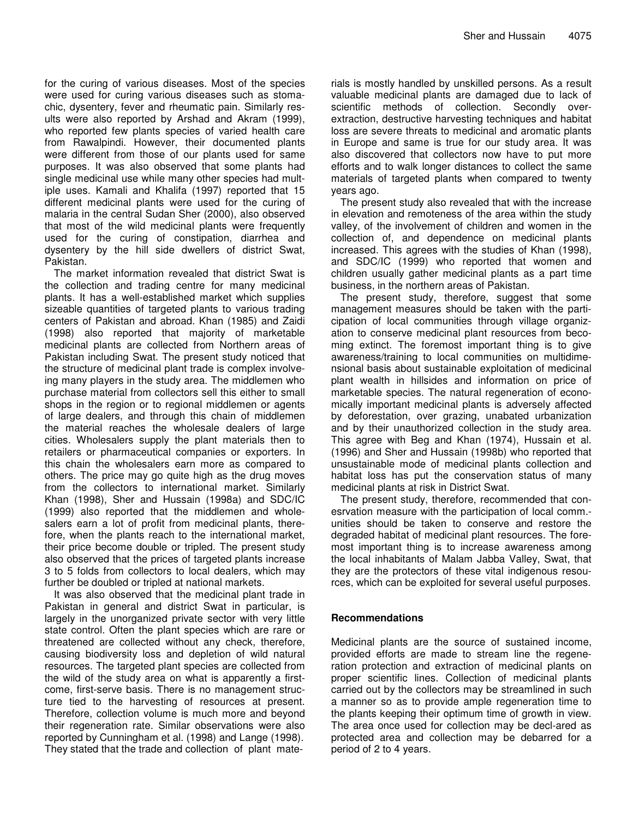for the curing of various diseases. Most of the species were used for curing various diseases such as stomachic, dysentery, fever and rheumatic pain. Similarly results were also reported by Arshad and Akram (1999), who reported few plants species of varied health care from Rawalpindi. However, their documented plants were different from those of our plants used for same purposes. It was also observed that some plants had single medicinal use while many other species had multiple uses. Kamali and Khalifa (1997) reported that 15 different medicinal plants were used for the curing of malaria in the central Sudan Sher (2000), also observed that most of the wild medicinal plants were frequently used for the curing of constipation, diarrhea and dysentery by the hill side dwellers of district Swat, Pakistan.

The market information revealed that district Swat is the collection and trading centre for many medicinal plants. It has a well-established market which supplies sizeable quantities of targeted plants to various trading centers of Pakistan and abroad. Khan (1985) and Zaidi (1998) also reported that majority of marketable medicinal plants are collected from Northern areas of Pakistan including Swat. The present study noticed that the structure of medicinal plant trade is complex involveing many players in the study area. The middlemen who purchase material from collectors sell this either to small shops in the region or to regional middlemen or agents of large dealers, and through this chain of middlemen the material reaches the wholesale dealers of large cities. Wholesalers supply the plant materials then to retailers or pharmaceutical companies or exporters. In this chain the wholesalers earn more as compared to others. The price may go quite high as the drug moves from the collectors to international market. Similarly Khan (1998), Sher and Hussain (1998a) and SDC/IC (1999) also reported that the middlemen and wholesalers earn a lot of profit from medicinal plants, therefore, when the plants reach to the international market, their price become double or tripled. The present study also observed that the prices of targeted plants increase 3 to 5 folds from collectors to local dealers, which may further be doubled or tripled at national markets.

It was also observed that the medicinal plant trade in Pakistan in general and district Swat in particular, is largely in the unorganized private sector with very little state control. Often the plant species which are rare or threatened are collected without any check, therefore, causing biodiversity loss and depletion of wild natural resources. The targeted plant species are collected from the wild of the study area on what is apparently a firstcome, first-serve basis. There is no management structure tied to the harvesting of resources at present. Therefore, collection volume is much more and beyond their regeneration rate. Similar observations were also reported by Cunningham et al. (1998) and Lange (1998). They stated that the trade and collection of plant materials is mostly handled by unskilled persons. As a result valuable medicinal plants are damaged due to lack of scientific methods of collection. Secondly overextraction, destructive harvesting techniques and habitat loss are severe threats to medicinal and aromatic plants in Europe and same is true for our study area. It was also discovered that collectors now have to put more efforts and to walk longer distances to collect the same materials of targeted plants when compared to twenty years ago.

The present study also revealed that with the increase in elevation and remoteness of the area within the study valley, of the involvement of children and women in the collection of, and dependence on medicinal plants increased. This agrees with the studies of Khan (1998), and SDC/IC (1999) who reported that women and children usually gather medicinal plants as a part time business, in the northern areas of Pakistan.

The present study, therefore, suggest that some management measures should be taken with the participation of local communities through village organization to conserve medicinal plant resources from becoming extinct. The foremost important thing is to give awareness/training to local communities on multidimensional basis about sustainable exploitation of medicinal plant wealth in hillsides and information on price of marketable species. The natural regeneration of economically important medicinal plants is adversely affected by deforestation, over grazing, unabated urbanization and by their unauthorized collection in the study area. This agree with Beg and Khan (1974), Hussain et al. (1996) and Sher and Hussain (1998b) who reported that unsustainable mode of medicinal plants collection and habitat loss has put the conservation status of many medicinal plants at risk in District Swat.

The present study, therefore, recommended that conesrvation measure with the participation of local comm. unities should be taken to conserve and restore the degraded habitat of medicinal plant resources. The foremost important thing is to increase awareness among the local inhabitants of Malam Jabba Valley, Swat, that they are the protectors of these vital indigenous resources, which can be exploited for several useful purposes.

#### **Recommendations**

Medicinal plants are the source of sustained income, provided efforts are made to stream line the regeneration protection and extraction of medicinal plants on proper scientific lines. Collection of medicinal plants carried out by the collectors may be streamlined in such a manner so as to provide ample regeneration time to the plants keeping their optimum time of growth in view. The area once used for collection may be decl-ared as protected area and collection may be debarred for a period of 2 to 4 years.